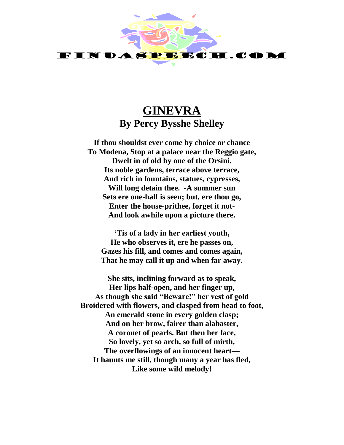

## **GINEVRA By Percy Bysshe Shelley**

**If thou shouldst ever come by choice or chance To Modena, Stop at a palace near the Reggio gate, Dwelt in of old by one of the Orsini. Its noble gardens, terrace above terrace, And rich in fountains, statues, cypresses, Will long detain thee. -A summer sun Sets ere one-half is seen; but, ere thou go, Enter the house-prithee, forget it not-And look awhile upon a picture there.**

**'Tis of a lady in her earliest youth, He who observes it, ere he passes on, Gazes his fill, and comes and comes again, That he may call it up and when far away.**

**She sits, inclining forward as to speak, Her lips half-open, and her finger up, As though she said "Beware!" her vest of gold Broidered with flowers, and clasped from head to foot, An emerald stone in every golden clasp; And on her brow, fairer than alabaster, A coronet of pearls. But then her face, So lovely, yet so arch, so full of mirth, The overflowings of an innocent heart— It haunts me still, though many a year has fled, Like some wild melody!**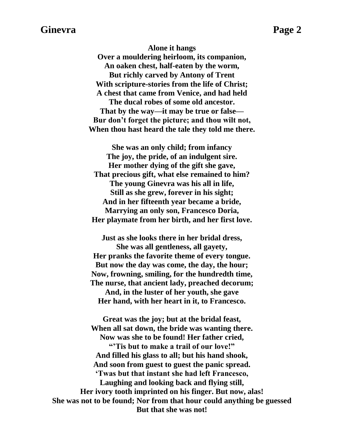## **Ginevra** Page 2

**Alone it hangs Over a mouldering heirloom, its companion, An oaken chest, half-eaten by the worm, But richly carved by Antony of Trent With scripture-stories from the life of Christ; A chest that came from Venice, and had held The ducal robes of some old ancestor. That by the way—it may be true or false— Bur don't forget the picture; and thou wilt not, When thou hast heard the tale they told me there.**

**She was an only child; from infancy The joy, the pride, of an indulgent sire. Her mother dying of the gift she gave, That precious gift, what else remained to him? The young Ginevra was his all in life, Still as she grew, forever in his sight; And in her fifteenth year became a bride, Marrying an only son, Francesco Doria, Her playmate from her birth, and her first love.**

**Just as she looks there in her bridal dress, She was all gentleness, all gayety, Her pranks the favorite theme of every tongue. But now the day was come, the day, the hour; Now, frowning, smiling, for the hundredth time, The nurse, that ancient lady, preached decorum; And, in the luster of her youth, she gave Her hand, with her heart in it, to Francesco.**

**Great was the joy; but at the bridal feast, When all sat down, the bride was wanting there. Now was she to be found! Her father cried, "'Tis but to make a trail of our love!" And filled his glass to all; but his hand shook, And soon from guest to guest the panic spread. 'Twas but that instant she had left Francesco, Laughing and looking back and flying still, Her ivory tooth imprinted on his finger. But now, alas! She was not to be found; Nor from that hour could anything be guessed But that she was not!**